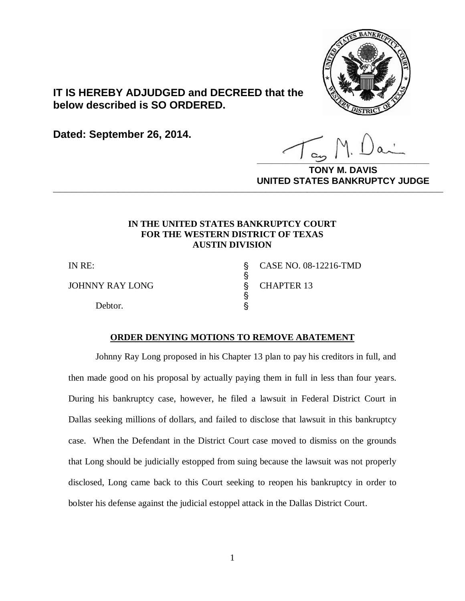

# **IT IS HEREBY ADJUDGED and DECREED that the below described is SO ORDERED.**

**Dated: September 26, 2014.**

**\_\_\_\_\_\_\_\_\_\_\_\_\_\_\_\_\_\_\_\_\_\_\_\_\_\_\_\_\_\_\_\_\_\_**

**M. DAVIS UNITED STATES BANKRUPTCY JUDGE PRITED DIATED BARRACT TOT 00DCE** 

### **IN THE UNITED STATES BANKRUPTCY COURT FOR THE WESTERN DISTRICT OF TEXAS AUSTIN DIVISION**

ş

ş

JOHNNY RAY LONG S CHAPTER 13

Debtor.  $\S$ 

IN RE: \$ CASE NO. 08-12216-TMD

#### **ORDER DENYING MOTIONS TO REMOVE ABATEMENT**

Johnny Ray Long proposed in his Chapter 13 plan to pay his creditors in full, and then made good on his proposal by actually paying them in full in less than four years. During his bankruptcy case, however, he filed a lawsuit in Federal District Court in Dallas seeking millions of dollars, and failed to disclose that lawsuit in this bankruptcy case. When the Defendant in the District Court case moved to dismiss on the grounds that Long should be judicially estopped from suing because the lawsuit was not properly disclosed, Long came back to this Court seeking to reopen his bankruptcy in order to bolster his defense against the judicial estoppel attack in the Dallas District Court.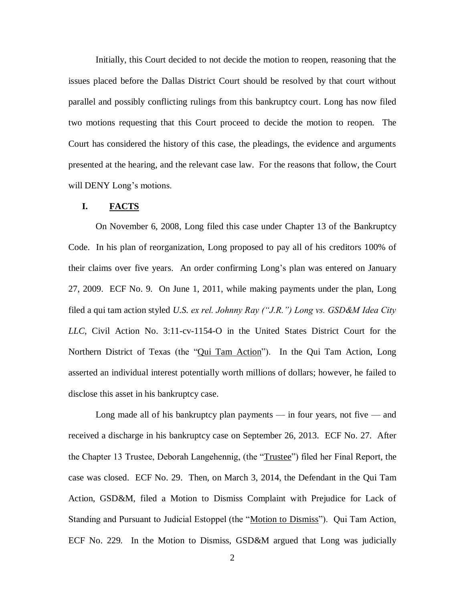Initially, this Court decided to not decide the motion to reopen, reasoning that the issues placed before the Dallas District Court should be resolved by that court without parallel and possibly conflicting rulings from this bankruptcy court. Long has now filed two motions requesting that this Court proceed to decide the motion to reopen. The Court has considered the history of this case, the pleadings, the evidence and arguments presented at the hearing, and the relevant case law. For the reasons that follow, the Court will DENY Long's motions.

## **I. FACTS**

On November 6, 2008, Long filed this case under Chapter 13 of the Bankruptcy Code. In his plan of reorganization, Long proposed to pay all of his creditors 100% of their claims over five years. An order confirming Long's plan was entered on January 27, 2009. ECF No. 9. On June 1, 2011, while making payments under the plan, Long filed a qui tam action styled *U.S. ex rel. Johnny Ray ("J.R.") Long vs. GSD&M Idea City LLC*, Civil Action No. 3:11-cv-1154-O in the United States District Court for the Northern District of Texas (the "Qui Tam Action"). In the Qui Tam Action, Long asserted an individual interest potentially worth millions of dollars; however, he failed to disclose this asset in his bankruptcy case.

Long made all of his bankruptcy plan payments — in four years, not five — and received a discharge in his bankruptcy case on September 26, 2013. ECF No. 27. After the Chapter 13 Trustee, Deborah Langehennig, (the "Trustee") filed her Final Report, the case was closed. ECF No. 29. Then, on March 3, 2014, the Defendant in the Qui Tam Action, GSD&M, filed a Motion to Dismiss Complaint with Prejudice for Lack of Standing and Pursuant to Judicial Estoppel (the "Motion to Dismiss"). Qui Tam Action, ECF No. 229. In the Motion to Dismiss, GSD&M argued that Long was judicially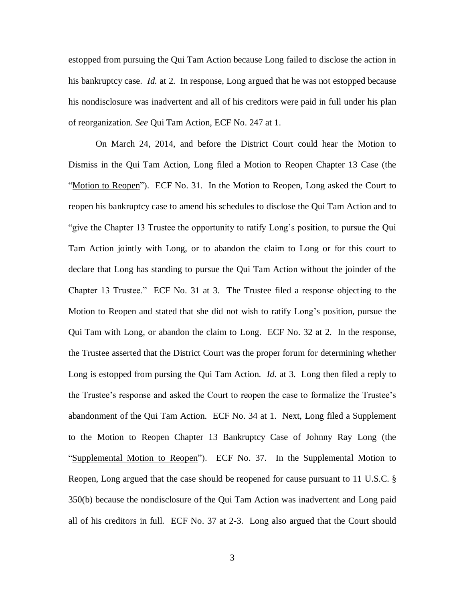estopped from pursuing the Qui Tam Action because Long failed to disclose the action in his bankruptcy case. *Id.* at 2. In response, Long argued that he was not estopped because his nondisclosure was inadvertent and all of his creditors were paid in full under his plan of reorganization. *See* Qui Tam Action, ECF No. 247 at 1.

On March 24, 2014, and before the District Court could hear the Motion to Dismiss in the Qui Tam Action, Long filed a Motion to Reopen Chapter 13 Case (the "Motion to Reopen"). ECF No. 31. In the Motion to Reopen, Long asked the Court to reopen his bankruptcy case to amend his schedules to disclose the Qui Tam Action and to "give the Chapter 13 Trustee the opportunity to ratify Long's position, to pursue the Qui Tam Action jointly with Long, or to abandon the claim to Long or for this court to declare that Long has standing to pursue the Qui Tam Action without the joinder of the Chapter 13 Trustee." ECF No. 31 at 3. The Trustee filed a response objecting to the Motion to Reopen and stated that she did not wish to ratify Long's position, pursue the Qui Tam with Long, or abandon the claim to Long. ECF No. 32 at 2. In the response, the Trustee asserted that the District Court was the proper forum for determining whether Long is estopped from pursing the Qui Tam Action. *Id.* at 3. Long then filed a reply to the Trustee's response and asked the Court to reopen the case to formalize the Trustee's abandonment of the Qui Tam Action. ECF No. 34 at 1. Next, Long filed a Supplement to the Motion to Reopen Chapter 13 Bankruptcy Case of Johnny Ray Long (the "Supplemental Motion to Reopen"). ECF No. 37. In the Supplemental Motion to Reopen, Long argued that the case should be reopened for cause pursuant to 11 U.S.C. § 350(b) because the nondisclosure of the Qui Tam Action was inadvertent and Long paid all of his creditors in full. ECF No. 37 at 2-3. Long also argued that the Court should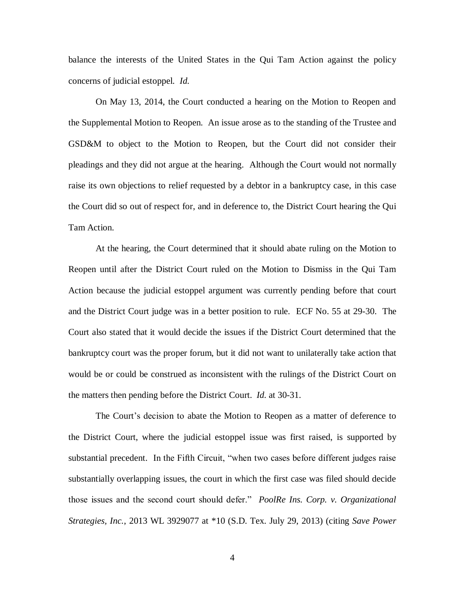balance the interests of the United States in the Qui Tam Action against the policy concerns of judicial estoppel. *Id.*

On May 13, 2014, the Court conducted a hearing on the Motion to Reopen and the Supplemental Motion to Reopen. An issue arose as to the standing of the Trustee and GSD&M to object to the Motion to Reopen, but the Court did not consider their pleadings and they did not argue at the hearing. Although the Court would not normally raise its own objections to relief requested by a debtor in a bankruptcy case, in this case the Court did so out of respect for, and in deference to, the District Court hearing the Qui Tam Action.

At the hearing, the Court determined that it should abate ruling on the Motion to Reopen until after the District Court ruled on the Motion to Dismiss in the Qui Tam Action because the judicial estoppel argument was currently pending before that court and the District Court judge was in a better position to rule. ECF No. 55 at 29-30. The Court also stated that it would decide the issues if the District Court determined that the bankruptcy court was the proper forum, but it did not want to unilaterally take action that would be or could be construed as inconsistent with the rulings of the District Court on the matters then pending before the District Court. *Id.* at 30-31.

The Court's decision to abate the Motion to Reopen as a matter of deference to the District Court, where the judicial estoppel issue was first raised, is supported by substantial precedent. In the Fifth Circuit, "when two cases before different judges raise substantially overlapping issues, the court in which the first case was filed should decide those issues and the second court should defer." *PoolRe Ins. Corp. v. Organizational Strategies, Inc.*, 2013 WL 3929077 at \*10 (S.D. Tex. July 29, 2013) (citing *Save Power*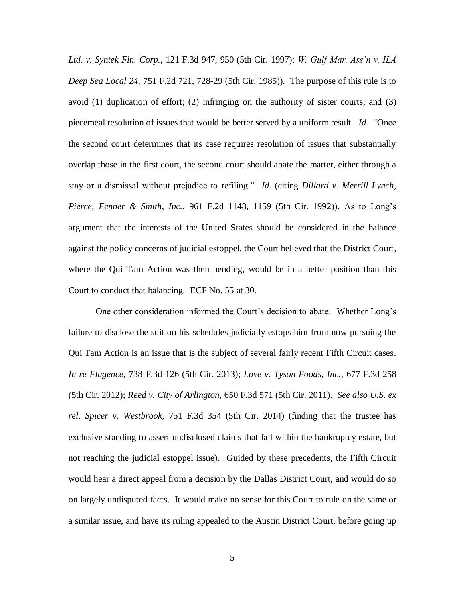*Ltd. v. Syntek Fin. Corp.*, 121 F.3d 947, 950 (5th Cir. 1997); *W. Gulf Mar. Ass'n v. ILA Deep Sea Local 24*, 751 F.2d 721, 728-29 (5th Cir. 1985)). The purpose of this rule is to avoid  $(1)$  duplication of effort;  $(2)$  infringing on the authority of sister courts; and  $(3)$ piecemeal resolution of issues that would be better served by a uniform result. *Id.* "Once the second court determines that its case requires resolution of issues that substantially overlap those in the first court, the second court should abate the matter, either through a stay or a dismissal without prejudice to refiling." *Id.* (citing *Dillard v. Merrill Lynch, Pierce, Fenner & Smith, Inc.*, 961 F.2d 1148, 1159 (5th Cir. 1992)). As to Long's argument that the interests of the United States should be considered in the balance against the policy concerns of judicial estoppel, the Court believed that the District Court, where the Qui Tam Action was then pending, would be in a better position than this Court to conduct that balancing. ECF No. 55 at 30.

One other consideration informed the Court's decision to abate. Whether Long's failure to disclose the suit on his schedules judicially estops him from now pursuing the Qui Tam Action is an issue that is the subject of several fairly recent Fifth Circuit cases. *In re Flugence*, 738 F.3d 126 (5th Cir. 2013); *Love v. Tyson Foods, Inc.*, 677 F.3d 258 (5th Cir. 2012); *Reed v. City of Arlington*, 650 F.3d 571 (5th Cir. 2011). *See also U.S. ex rel. Spicer v. Westbrook*, 751 F.3d 354 (5th Cir. 2014) (finding that the trustee has exclusive standing to assert undisclosed claims that fall within the bankruptcy estate, but not reaching the judicial estoppel issue). Guided by these precedents, the Fifth Circuit would hear a direct appeal from a decision by the Dallas District Court, and would do so on largely undisputed facts. It would make no sense for this Court to rule on the same or a similar issue, and have its ruling appealed to the Austin District Court, before going up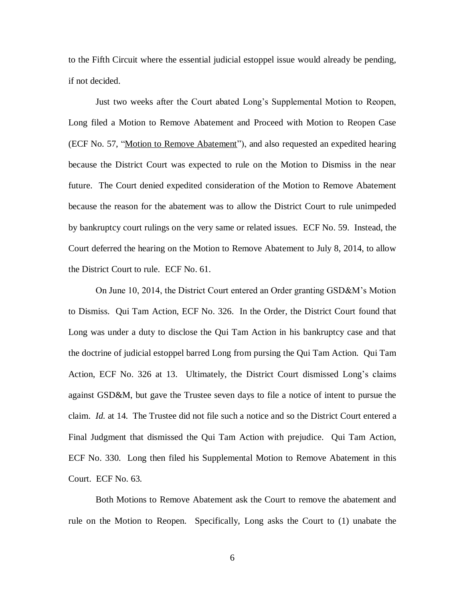to the Fifth Circuit where the essential judicial estoppel issue would already be pending, if not decided.

Just two weeks after the Court abated Long's Supplemental Motion to Reopen, Long filed a Motion to Remove Abatement and Proceed with Motion to Reopen Case (ECF No. 57, "Motion to Remove Abatement"), and also requested an expedited hearing because the District Court was expected to rule on the Motion to Dismiss in the near future. The Court denied expedited consideration of the Motion to Remove Abatement because the reason for the abatement was to allow the District Court to rule unimpeded by bankruptcy court rulings on the very same or related issues. ECF No. 59. Instead, the Court deferred the hearing on the Motion to Remove Abatement to July 8, 2014, to allow the District Court to rule. ECF No. 61.

On June 10, 2014, the District Court entered an Order granting GSD&M's Motion to Dismiss. Qui Tam Action, ECF No. 326. In the Order, the District Court found that Long was under a duty to disclose the Qui Tam Action in his bankruptcy case and that the doctrine of judicial estoppel barred Long from pursing the Qui Tam Action. Qui Tam Action, ECF No. 326 at 13. Ultimately, the District Court dismissed Long's claims against GSD&M, but gave the Trustee seven days to file a notice of intent to pursue the claim. *Id.* at 14. The Trustee did not file such a notice and so the District Court entered a Final Judgment that dismissed the Qui Tam Action with prejudice. Qui Tam Action, ECF No. 330. Long then filed his Supplemental Motion to Remove Abatement in this Court. ECF No. 63.

Both Motions to Remove Abatement ask the Court to remove the abatement and rule on the Motion to Reopen. Specifically, Long asks the Court to (1) unabate the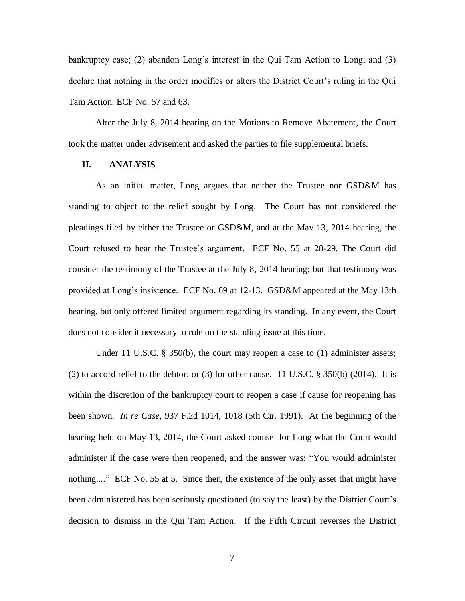bankruptcy case; (2) abandon Long's interest in the Qui Tam Action to Long; and (3) declare that nothing in the order modifies or alters the District Court's ruling in the Qui Tam Action. ECF No. 57 and 63.

After the July 8, 2014 hearing on the Motions to Remove Abatement, the Court took the matter under advisement and asked the parties to file supplemental briefs.

### **II. ANALYSIS**

As an initial matter, Long argues that neither the Trustee nor GSD&M has standing to object to the relief sought by Long. The Court has not considered the pleadings filed by either the Trustee or GSD&M, and at the May 13, 2014 hearing, the Court refused to hear the Trustee's argument. ECF No. 55 at 28-29. The Court did consider the testimony of the Trustee at the July 8, 2014 hearing; but that testimony was provided at Long's insistence. ECF No. 69 at 12-13. GSD&M appeared at the May 13th hearing, but only offered limited argument regarding its standing. In any event, the Court does not consider it necessary to rule on the standing issue at this time.

Under 11 U.S.C. § 350(b), the court may reopen a case to (1) administer assets; (2) to accord relief to the debtor; or (3) for other cause. 11 U.S.C.  $\S$  350(b) (2014). It is within the discretion of the bankruptcy court to reopen a case if cause for reopening has been shown. *In re Case*, 937 F.2d 1014, 1018 (5th Cir. 1991). At the beginning of the hearing held on May 13, 2014, the Court asked counsel for Long what the Court would administer if the case were then reopened, and the answer was: "You would administer nothing...." ECF No. 55 at 5. Since then, the existence of the only asset that might have been administered has been seriously questioned (to say the least) by the District Court's decision to dismiss in the Qui Tam Action. If the Fifth Circuit reverses the District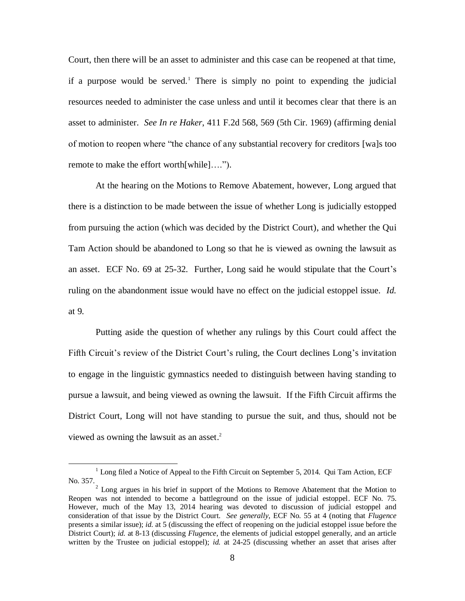Court, then there will be an asset to administer and this case can be reopened at that time, if a purpose would be served.<sup>1</sup> There is simply no point to expending the judicial resources needed to administer the case unless and until it becomes clear that there is an asset to administer. *See In re Haker*, 411 F.2d 568, 569 (5th Cir. 1969) (affirming denial of motion to reopen where "the chance of any substantial recovery for creditors [wa]s too remote to make the effort worth[while]….").

At the hearing on the Motions to Remove Abatement, however, Long argued that there is a distinction to be made between the issue of whether Long is judicially estopped from pursuing the action (which was decided by the District Court), and whether the Qui Tam Action should be abandoned to Long so that he is viewed as owning the lawsuit as an asset. ECF No. 69 at 25-32. Further, Long said he would stipulate that the Court's ruling on the abandonment issue would have no effect on the judicial estoppel issue. *Id.*  at 9.

Putting aside the question of whether any rulings by this Court could affect the Fifth Circuit's review of the District Court's ruling, the Court declines Long's invitation to engage in the linguistic gymnastics needed to distinguish between having standing to pursue a lawsuit, and being viewed as owning the lawsuit. If the Fifth Circuit affirms the District Court, Long will not have standing to pursue the suit, and thus, should not be viewed as owning the lawsuit as an asset. 2

l

 $1$  Long filed a Notice of Appeal to the Fifth Circuit on September 5, 2014. Qui Tam Action, ECF No. 357.

 $2^{2}$  Long argues in his brief in support of the Motions to Remove Abatement that the Motion to Reopen was not intended to become a battleground on the issue of judicial estoppel. ECF No. 75. However, much of the May 13, 2014 hearing was devoted to discussion of judicial estoppel and consideration of that issue by the District Court. *See generally*, ECF No. 55 at 4 (noting that *Flugence* presents a similar issue); *id.* at 5 (discussing the effect of reopening on the judicial estoppel issue before the District Court); *id.* at 8-13 (discussing *Flugence*, the elements of judicial estoppel generally, and an article written by the Trustee on judicial estoppel); *id.* at 24-25 (discussing whether an asset that arises after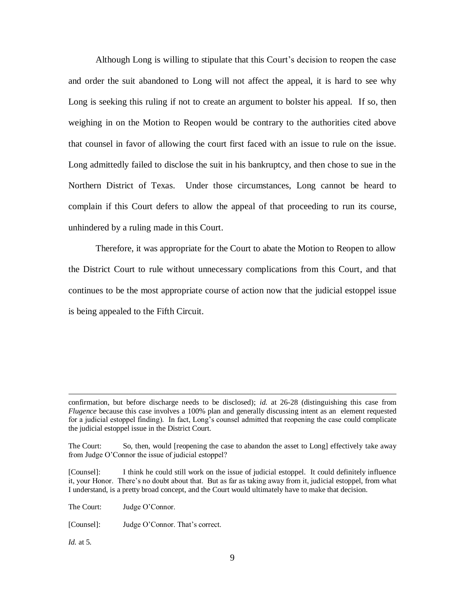Although Long is willing to stipulate that this Court's decision to reopen the case and order the suit abandoned to Long will not affect the appeal, it is hard to see why Long is seeking this ruling if not to create an argument to bolster his appeal. If so, then weighing in on the Motion to Reopen would be contrary to the authorities cited above that counsel in favor of allowing the court first faced with an issue to rule on the issue. Long admittedly failed to disclose the suit in his bankruptcy, and then chose to sue in the Northern District of Texas. Under those circumstances, Long cannot be heard to complain if this Court defers to allow the appeal of that proceeding to run its course, unhindered by a ruling made in this Court.

Therefore, it was appropriate for the Court to abate the Motion to Reopen to allow the District Court to rule without unnecessary complications from this Court, and that continues to be the most appropriate course of action now that the judicial estoppel issue is being appealed to the Fifth Circuit.

The Court: Judge O'Connor.

[Counsel]: Judge O'Connor. That's correct.

*Id.* at 5.

l

confirmation, but before discharge needs to be disclosed); *id.* at 26-28 (distinguishing this case from *Flugence* because this case involves a 100% plan and generally discussing intent as an element requested for a judicial estoppel finding). In fact, Long's counsel admitted that reopening the case could complicate the judicial estoppel issue in the District Court.

The Court: So, then, would [reopening the case to abandon the asset to Long] effectively take away from Judge O'Connor the issue of judicial estoppel?

<sup>[</sup>Counsel]: I think he could still work on the issue of judicial estoppel. It could definitely influence it, your Honor. There's no doubt about that. But as far as taking away from it, judicial estoppel, from what I understand, is a pretty broad concept, and the Court would ultimately have to make that decision.